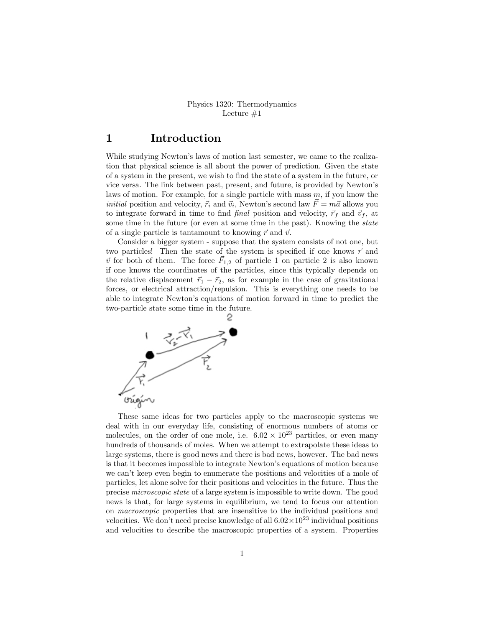#### Physics 1320: Thermodynamics Lecture  $#1$

#### 1 Introduction

While studying Newton's laws of motion last semester, we came to the realization that physical science is all about the power of prediction. Given the state of a system in the present, we wish to Önd the state of a system in the future, or vice versa. The link between past, present, and future, is provided by Newtonís laws of motion. For example, for a single particle with mass  $m$ , if you know the *initial* position and velocity,  $\vec{r_i}$  and  $\vec{v_i}$ , Newton's second law  $\vec{F} = m\vec{a}$  allows you to integrate forward in time to find final position and velocity,  $\vec{r}_f$  and  $\vec{v}_f$ , at some time in the future (or even at some time in the past). Knowing the *state* of a single particle is tantamount to knowing  $\vec{r}$  and  $\vec{v}$ .

Consider a bigger system - suppose that the system consists of not one, but two particles! Then the state of the system is specified if one knows  $\vec{r}$  and  $\vec{v}$  for both of them. The force  $\vec{F}_{1,2}$  of particle 1 on particle 2 is also known if one knows the coordinates of the particles, since this typically depends on the relative displacement  $\vec{r}_1 - \vec{r}_2$ , as for example in the case of gravitational forces, or electrical attraction/repulsion. This is everything one needs to be able to integrate Newtonís equations of motion forward in time to predict the two-particle state some time in the future.



These same ideas for two particles apply to the macroscopic systems we deal with in our everyday life, consisting of enormous numbers of atoms or molecules, on the order of one mole, i.e.  $6.02 \times 10^{23}$  particles, or even many hundreds of thousands of moles. When we attempt to extrapolate these ideas to large systems, there is good news and there is bad news, however. The bad news is that it becomes impossible to integrate Newton's equations of motion because we can't keep even begin to enumerate the positions and velocities of a mole of particles, let alone solve for their positions and velocities in the future. Thus the precise microscopic state of a large system is impossible to write down. The good news is that, for large systems in equilibrium, we tend to focus our attention on macroscopic properties that are insensitive to the individual positions and velocities. We don't need precise knowledge of all  $6.02 \times 10^{23}$  individual positions and velocities to describe the macroscopic properties of a system. Properties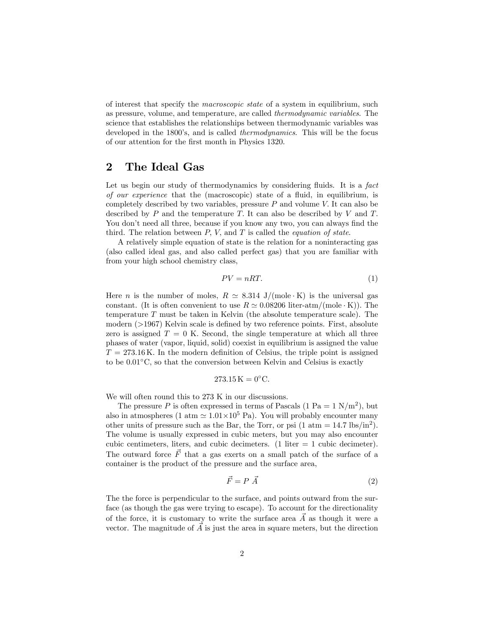of interest that specify the macroscopic state of a system in equilibrium, such as pressure, volume, and temperature, are called thermodynamic variables. The science that establishes the relationships between thermodynamic variables was developed in the 1800's, and is called *thermodynamics*. This will be the focus of our attention for the Örst month in Physics 1320.

#### 2 The Ideal Gas

Let us begin our study of thermodynamics by considering fluids. It is a fact of our experience that the (macroscopic) state of a fluid, in equilibrium, is completely described by two variables, pressure  $P$  and volume  $V$ . It can also be described by  $P$  and the temperature  $T$ . It can also be described by  $V$  and  $T$ . You don't need all three, because if you know any two, you can always find the third. The relation between  $P$ ,  $V$ , and  $T$  is called the *equation of state*.

A relatively simple equation of state is the relation for a noninteracting gas (also called ideal gas, and also called perfect gas) that you are familiar with from your high school chemistry class,

$$
PV = nRT.\tag{1}
$$

Here *n* is the number of moles,  $R \simeq 8.314 \text{ J/(mole·K)}$  is the universal gas constant. (It is often convenient to use  $R \simeq 0.08206$  liter-atm/(mole  $\cdot$  K)). The temperature T must be taken in Kelvin (the absolute temperature scale). The modern  $(>1967)$  Kelvin scale is defined by two reference points. First, absolute zero is assigned  $T = 0$  K. Second, the single temperature at which all three phases of water (vapor, liquid, solid) coexist in equilibrium is assigned the value  $T = 273.16$  K. In the modern definition of Celsius, the triple point is assigned to be  $0.01^{\circ}$ C, so that the conversion between Kelvin and Celsius is exactly

$$
273.15\,\mathrm{K} = 0^{\circ}\mathrm{C}.
$$

We will often round this to 273 K in our discussions.

The pressure P is often expressed in terms of Pascals  $(1 \text{ Pa} = 1 \text{ N/m}^2)$ , but also in atmospheres (1 atm  $\simeq 1.01 \times 10^5$  Pa). You will probably encounter many other units of pressure such as the Bar, the Torr, or psi  $(1 \text{ atm} = 14.7 \text{ lbs/in}^2)$ . The volume is usually expressed in cubic meters, but you may also encounter cubic centimeters, liters, and cubic decimeters. (1 liter  $= 1$  cubic decimeter). The outward force  $\vec{F}$  that a gas exerts on a small patch of the surface of a container is the product of the pressure and the surface area,

$$
\vec{F} = P \ \vec{A} \tag{2}
$$

The the force is perpendicular to the surface, and points outward from the surface (as though the gas were trying to escape). To account for the directionality of the force, it is customary to write the surface area  $\vec{A}$  as though it were a vector. The magnitude of  $\vec{A}$  is just the area in square meters, but the direction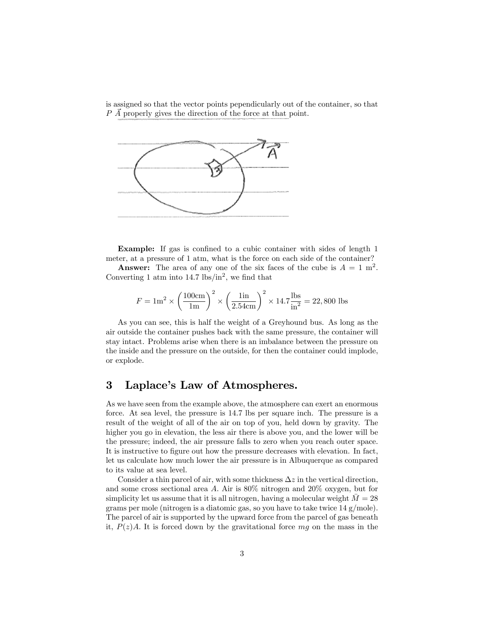is assigned so that the vector points pependicularly out of the container, so that  $P\,\overline{A}$  properly gives the direction of the force at that point.



Example: If gas is confined to a cubic container with sides of length 1 meter, at a pressure of 1 atm, what is the force on each side of the container?

**Answer:** The area of any one of the six faces of the cube is  $A = 1$  m<sup>2</sup>. Converting 1 atm into  $14.7 \text{ lbs/in}^2$ , we find that

$$
F = 1\text{m}^2 \times \left(\frac{100\text{cm}}{1\text{m}}\right)^2 \times \left(\frac{1\text{in}}{2.54\text{cm}}\right)^2 \times 14.7 \frac{\text{lbs}}{\text{in}^2} = 22,800 \text{ lbs}
$$

As you can see, this is half the weight of a Greyhound bus. As long as the air outside the container pushes back with the same pressure, the container will stay intact. Problems arise when there is an imbalance between the pressure on the inside and the pressure on the outside, for then the container could implode, or explode.

## 3 Laplace's Law of Atmospheres.

As we have seen from the example above, the atmosphere can exert an enormous force. At sea level, the pressure is 14.7 lbs per square inch. The pressure is a result of the weight of all of the air on top of you, held down by gravity. The higher you go in elevation, the less air there is above you, and the lower will be the pressure; indeed, the air pressure falls to zero when you reach outer space. It is instructive to figure out how the pressure decreases with elevation. In fact, let us calculate how much lower the air pressure is in Albuquerque as compared to its value at sea level.

Consider a thin parcel of air, with some thickness  $\Delta z$  in the vertical direction, and some cross sectional area A: Air is 80% nitrogen and 20% oxygen, but for simplicity let us assume that it is all nitrogen, having a molecular weight  $M = 28$ grams per mole (nitrogen is a diatomic gas, so you have to take twice 14 g/mole). The parcel of air is supported by the upward force from the parcel of gas beneath it,  $P(z)A$ . It is forced down by the gravitational force mg on the mass in the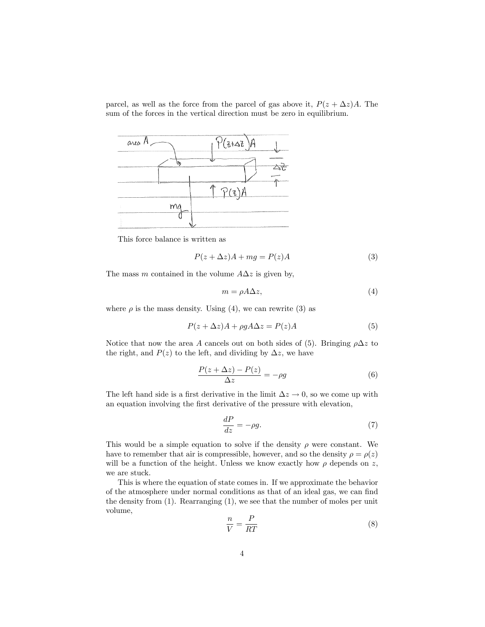parcel, as well as the force from the parcel of gas above it,  $P(z + \Delta z)A$ . The sum of the forces in the vertical direction must be zero in equilibrium.



This force balance is written as

$$
P(z + \Delta z)A + mg = P(z)A
$$
\n(3)

The mass m contained in the volume  $A\Delta z$  is given by,

$$
m = \rho A \Delta z,\tag{4}
$$

where  $\rho$  is the mass density. Using (4), we can rewrite (3) as

$$
P(z + \Delta z)A + \rho g A \Delta z = P(z)A \tag{5}
$$

Notice that now the area A cancels out on both sides of (5). Bringing  $\rho \Delta z$  to the right, and  $P(z)$  to the left, and dividing by  $\Delta z$ , we have

$$
\frac{P(z + \Delta z) - P(z)}{\Delta z} = -\rho g \tag{6}
$$

The left hand side is a first derivative in the limit  $\Delta z \rightarrow 0$ , so we come up with an equation involving the first derivative of the pressure with elevation,

$$
\frac{dP}{dz} = -\rho g.\tag{7}
$$

This would be a simple equation to solve if the density  $\rho$  were constant. We have to remember that air is compressible, however, and so the density  $\rho = \rho(z)$ will be a function of the height. Unless we know exactly how  $\rho$  depends on z, we are stuck.

This is where the equation of state comes in. If we approximate the behavior of the atmosphere under normal conditions as that of an ideal gas, we can find the density from  $(1)$ . Rearranging  $(1)$ , we see that the number of moles per unit volume,

$$
\frac{n}{V} = \frac{P}{RT} \tag{8}
$$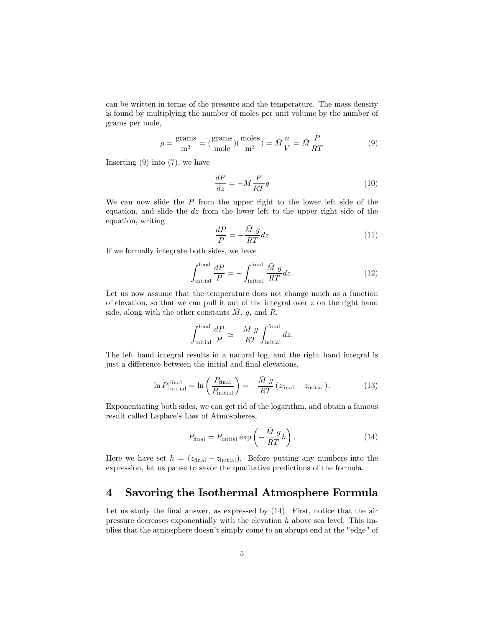can be written in terms of the pressure and the temperature. The mass density is found by multiplying the number of moles per unit volume by the number of grams per mole,

$$
\rho = \frac{\text{grams}}{\text{m}^3} = \left(\frac{\text{grams}}{\text{mole}}\right)\left(\frac{\text{moles}}{\text{m}^3}\right) = \bar{M}\frac{n}{V} = \bar{M}\frac{P}{RT} \tag{9}
$$

Inserting  $(9)$  into  $(7)$ , we have

$$
\frac{dP}{dz} = -\bar{M}\frac{P}{RT}g\tag{10}
$$

We can now slide the  $P$  from the upper right to the lower left side of the equation, and slide the  $dz$  from the lower left to the upper right side of the equation, writing

$$
\frac{dP}{P} = -\frac{\bar{M} g}{RT} dz \tag{11}
$$

If we formally integrate both sides, we have

$$
\int_{\text{initial}}^{\text{final}} \frac{dP}{P} = -\int_{\text{initial}}^{\text{final}} \frac{\bar{M} g}{RT} dz. \tag{12}
$$

Let us now assume that the temperature does not change much as a function of elevation, so that we can pull it out of the integral over z on the right hand side, along with the other constants  $\overline{M}$ , g, and R.

$$
\int_{\text{initial}}^{\text{final}} \frac{dP}{P} \simeq -\frac{\bar{M} g}{RT} \int_{\text{initial}}^{\text{final}} dz.
$$

The left hand integral results in a natural log, and the right hand integral is just a difference between the initial and final elevations,

$$
\ln P_{\text{initial}}^{\text{final}} = \ln \left( \frac{P_{\text{final}}}{P_{\text{initial}}} \right) = -\frac{\bar{M} g}{RT} (z_{\text{final}} - z_{\text{initial}}). \tag{13}
$$

Exponentiating both sides, we can get rid of the logarithm, and obtain a famous result called Laplace's Law of Atmospheres,

$$
P_{\text{final}} = P_{\text{initial}} \exp\left(-\frac{\bar{M} g}{RT}h\right). \tag{14}
$$

Here we have set  $h = (z<sub>final</sub> - z<sub>initial</sub>)$ . Before putting any numbers into the expression, let us pause to savor the qualitative predictions of the formula.

#### 4 Savoring the Isothermal Atmosphere Formula

Let us study the final answer, as expressed by  $(14)$ . First, notice that the air pressure decreases exponentially with the elevation  $h$  above sea level. This implies that the atmosphere doesn't simply come to an abrupt end at the "edge" of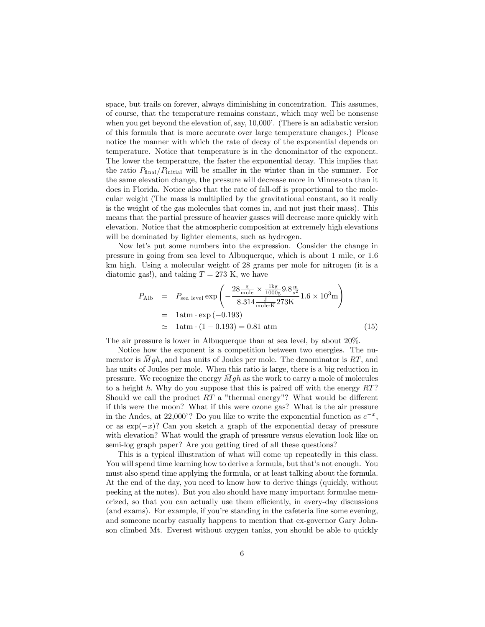space, but trails on forever, always diminishing in concentration. This assumes, of course, that the temperature remains constant, which may well be nonsense when you get beyond the elevation of, say,  $10,000$ . (There is an adiabatic version of this formula that is more accurate over large temperature changes.) Please notice the manner with which the rate of decay of the exponential depends on temperature. Notice that temperature is in the denominator of the exponent. The lower the temperature, the faster the exponential decay. This implies that the ratio  $P_{final}/P_{initial}$  will be smaller in the winter than in the summer. For the same elevation change, the pressure will decrease more in Minnesota than it does in Florida. Notice also that the rate of fall-off is proportional to the molecular weight (The mass is multiplied by the gravitational constant, so it really is the weight of the gas molecules that comes in, and not just their mass). This means that the partial pressure of heavier gasses will decrease more quickly with elevation. Notice that the atmospheric composition at extremely high elevations will be dominated by lighter elements, such as hydrogen.

Now let's put some numbers into the expression. Consider the change in pressure in going from sea level to Albuquerque, which is about 1 mile, or 1.6 km high. Using a molecular weight of 28 grams per mole for nitrogen (it is a diatomic gas!), and taking  $T = 273$  K, we have

$$
P_{\text{Alb}} = P_{\text{sea level}} \exp\left(-\frac{28 \frac{\text{g}}{\text{mole}} \times \frac{1 \text{kg}}{1000 \text{g}} 9.8 \frac{\text{m}}{\text{s}^2}}{8.314 \frac{\text{J}}{\text{mole} \cdot \text{K}} 273 \text{K}} 1.6 \times 10^3 \text{m}\right)
$$
  
= 1 atm \cdot \exp(-0.193)  

$$
\approx 1 \text{atm} \cdot (1 - 0.193) = 0.81 \text{ atm}
$$
 (15)

The air pressure is lower in Albuquerque than at sea level, by about 20%.

Notice how the exponent is a competition between two energies. The numerator is  $Mgh$ , and has units of Joules per mole. The denominator is RT, and has units of Joules per mole. When this ratio is large, there is a big reduction in pressure. We recognize the energy  $Mgh$  as the work to carry a mole of molecules to a height h. Why do you suppose that this is paired off with the energy  $RT$ ? Should we call the product  $RT$  a "thermal energy"? What would be different if this were the moon? What if this were ozone gas? What is the air pressure in the Andes, at 22,000'? Do you like to write the exponential function as  $e^{-x}$ , or as  $\exp(-x)$ ? Can you sketch a graph of the exponential decay of pressure with elevation? What would the graph of pressure versus elevation look like on semi-log graph paper? Are you getting tired of all these questions?

This is a typical illustration of what will come up repeatedly in this class. You will spend time learning how to derive a formula, but that's not enough. You must also spend time applying the formula, or at least talking about the formula. At the end of the day, you need to know how to derive things (quickly, without peeking at the notes). But you also should have many important formulae memorized, so that you can actually use them efficiently, in every-day discussions (and exams). For example, if youíre standing in the cafeteria line some evening, and someone nearby casually happens to mention that ex-governor Gary Johnson climbed Mt. Everest without oxygen tanks, you should be able to quickly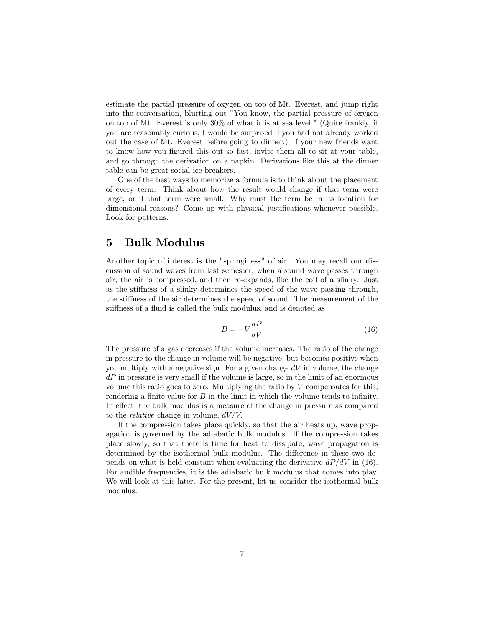estimate the partial pressure of oxygen on top of Mt. Everest, and jump right into the conversation, blurting out "You know, the partial pressure of oxygen on top of Mt. Everest is only 30% of what it is at sea level." (Quite frankly, if you are reasonably curious, I would be surprised if you had not already worked out the case of Mt. Everest before going to dinner.) If your new friends want to know how you figured this out so fast, invite them all to sit at your table, and go through the derivation on a napkin. Derivations like this at the dinner table can be great social ice breakers.

One of the best ways to memorize a formula is to think about the placement of every term. Think about how the result would change if that term were large, or if that term were small. Why must the term be in its location for dimensional reasons? Come up with physical justifications whenever possible. Look for patterns.

#### 5 Bulk Modulus

Another topic of interest is the "springiness" of air. You may recall our discussion of sound waves from last semester; when a sound wave passes through air, the air is compressed, and then re-expands, like the coil of a slinky. Just as the stiffness of a slinky determines the speed of the wave passing through, the stiffness of the air determines the speed of sound. The measurement of the stiffness of a fluid is called the bulk modulus, and is denoted as

$$
B = -V \frac{dP}{dV} \tag{16}
$$

The pressure of a gas decreases if the volume increases. The ratio of the change in pressure to the change in volume will be negative, but becomes positive when you multiply with a negative sign. For a given change  $dV$  in volume, the change  $dP$  in pressure is very small if the volume is large, so in the limit of an enormous volume this ratio goes to zero. Multiplying the ratio by  $V$  compensates for this, rendering a finite value for  $B$  in the limit in which the volume tends to infinity. In effect, the bulk modulus is a measure of the change in pressure as compared to the *relative* change in volume,  $dV/V$ .

If the compression takes place quickly, so that the air heats up, wave propagation is governed by the adiabatic bulk modulus. If the compression takes place slowly, so that there is time for heat to dissipate, wave propagation is determined by the isothermal bulk modulus. The difference in these two depends on what is held constant when evaluating the derivative  $dP/dV$  in (16). For audible frequencies, it is the adiabatic bulk modulus that comes into play. We will look at this later. For the present, let us consider the isothermal bulk modulus.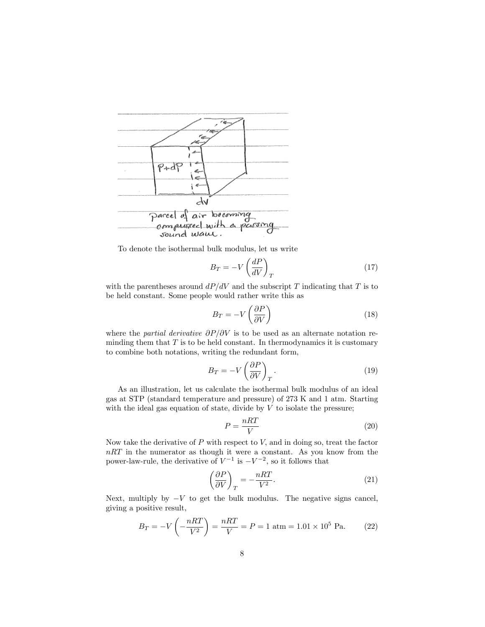

To denote the isothermal bulk modulus, let us write

$$
B_T = -V \left(\frac{dP}{dV}\right)_T \tag{17}
$$

with the parentheses around  $dP/dV$  and the subscript T indicating that T is to be held constant. Some people would rather write this as

$$
B_T = -V \left( \frac{\partial P}{\partial V} \right) \tag{18}
$$

where the partial derivative  $\partial P/\partial V$  is to be used as an alternate notation reminding them that  $T$  is to be held constant. In thermodynamics it is customary to combine both notations, writing the redundant form,

$$
B_T = -V \left(\frac{\partial P}{\partial V}\right)_T.
$$
\n(19)

As an illustration, let us calculate the isothermal bulk modulus of an ideal gas at STP (standard temperature and pressure) of 273 K and 1 atm. Starting with the ideal gas equation of state, divide by  $V$  to isolate the pressure;

$$
P = \frac{nRT}{V} \tag{20}
$$

Now take the derivative of  $P$  with respect to  $V$ , and in doing so, treat the factor  $nRT$  in the numerator as though it were a constant. As you know from the power-law-rule, the derivative of  $V^{-1}$  is  $-V^{-2}$ , so it follows that

$$
\left(\frac{\partial P}{\partial V}\right)_T = -\frac{nRT}{V^2}.\tag{21}
$$

Next, multiply by  $-V$  to get the bulk modulus. The negative signs cancel, giving a positive result,

$$
B_T = -V\left(-\frac{nRT}{V^2}\right) = \frac{nRT}{V} = P = 1 \text{ atm} = 1.01 \times 10^5 \text{ Pa.}
$$
 (22)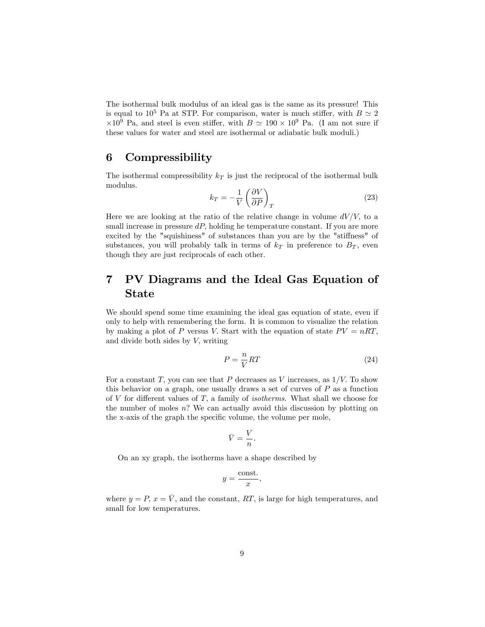The isothermal bulk modulus of an ideal gas is the same as its pressure! This is equal to 10<sup>5</sup> Pa at STP. For comparison, water is much stiffer, with  $B \simeq 2$  $\times 10^9$  Pa, and steel is even stiffer, with  $B \simeq 190 \times 10^9$  Pa. (I am not sure if these values for water and steel are isothermal or adiabatic bulk moduli.)

#### 6 Compressibility

The isothermal compressibility  $k_T$  is just the reciprocal of the isothermal bulk modulus.

$$
k_T = -\frac{1}{V} \left( \frac{\partial V}{\partial P} \right)_T \tag{23}
$$

Here we are looking at the ratio of the relative change in volume  $dV/V$ , to a small increase in pressure  $dP$ , holding he temperature constant. If you are more excited by the "squishiness" of substances than you are by the "stiffness" of substances, you will probably talk in terms of  $k<sub>T</sub>$  in preference to  $B<sub>T</sub>$ , even though they are just reciprocals of each other.

# 7 PV Diagrams and the Ideal Gas Equation of State

We should spend some time examining the ideal gas equation of state, even if only to help with remembering the form. It is common to visualize the relation by making a plot of P versus V. Start with the equation of state  $PV = nRT$ , and divide both sides by  $V$ , writing

$$
P = \frac{n}{V}RT\tag{24}
$$

For a constant T, you can see that P decreases as V increases, as  $1/V$ . To show this behavior on a graph, one usually draws a set of curves of  $P$  as a function of V for different values of T, a family of *isotherms*. What shall we choose for the number of moles n? We can actually avoid this discussion by plotting on the x-axis of the graph the specific volume, the volume per mole,

$$
\bar{V} = \frac{V}{n}.
$$

On an xy graph, the isotherms have a shape described by

$$
y = \frac{\text{const.}}{x},
$$

where  $y = P$ ,  $x = \overline{V}$ , and the constant, RT, is large for high temperatures, and small for low temperatures.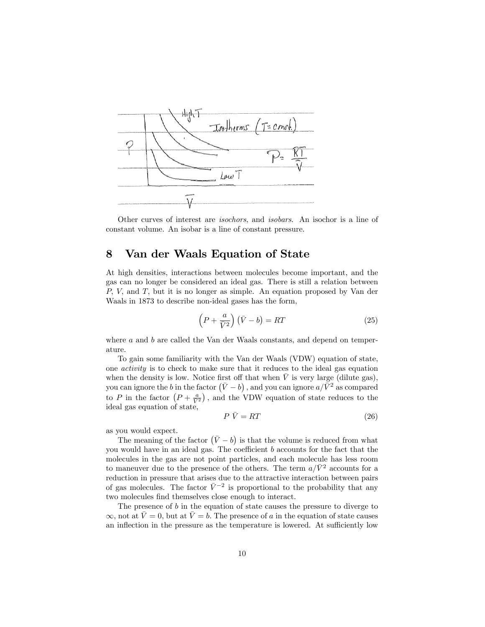

Other curves of interest are isochors, and isobars. An isochor is a line of constant volume. An isobar is a line of constant pressure.

### 8 Van der Waals Equation of State

At high densities, interactions between molecules become important, and the gas can no longer be considered an ideal gas. There is still a relation between  $P$ ,  $V$ , and  $T$ , but it is no longer as simple. An equation proposed by Van der Waals in 1873 to describe non-ideal gases has the form,

$$
\left(P + \frac{a}{\bar{V}^2}\right)\left(\bar{V} - b\right) = RT \tag{25}
$$

where  $a$  and  $b$  are called the Van der Waals constants, and depend on temperature.

To gain some familiarity with the Van der Waals (VDW) equation of state, one activity is to check to make sure that it reduces to the ideal gas equation when the density is low. Notice first off that when  $\overline{V}$  is very large (dilute gas), you can ignore the b in the factor  $(\bar{V} - b)$  , and you can ignore  $a/\bar{V}^2$  as compared to P in the factor  $\left(P + \frac{a}{V^2}\right)$ , and the VDW equation of state reduces to the ideal gas equation of state,

$$
P\ \bar{V} = RT \tag{26}
$$

as you would expect.

The meaning of the factor  $(\bar{V} - b)$  is that the volume is reduced from what you would have in an ideal gas. The coefficient  $b$  accounts for the fact that the molecules in the gas are not point particles, and each molecule has less room to maneuver due to the presence of the others. The term  $a/\bar{V}^2$  accounts for a reduction in pressure that arises due to the attractive interaction between pairs of gas molecules. The factor  $\bar{V}^{-2}$  is proportional to the probability that any two molecules find themselves close enough to interact.

The presence of  $b$  in the equation of state causes the pressure to diverge to  $\infty$ , not at  $V = 0$ , but at  $\overline{V} = b$ . The presence of a in the equation of state causes an inflection in the pressure as the temperature is lowered. At sufficiently low